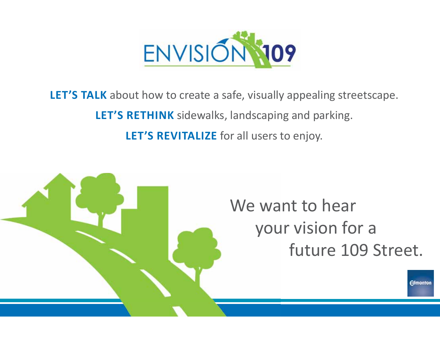

**LET'S TALK** about how to create a safe, visually appealing streetscape. **LET'S RETHINK** sidewalks, landscaping and parking.

**LET'S REVITALIZE** for all users to enjoy.

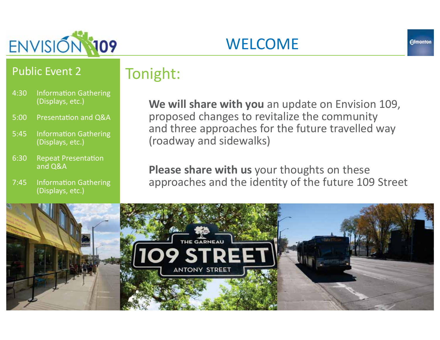

## Tonight:

4:30 Information Gathering (Displays, etc.)

Public Event 2

- 5:00 Presentation and O&A
- 5:45 Information Gathering (Displays, etc.)
- 6:30 Repeat Presentation and Q&A
- 7:45 Information Gathering (Displays, etc.)

### **We will share with you** an update on Envision 109, proposed changes to revitalize the community and three approaches for the future travelled way (roadway and sidewalks)

WELCOME

**Please share with us** your thoughts on these approaches and the identity of the future 109 Street

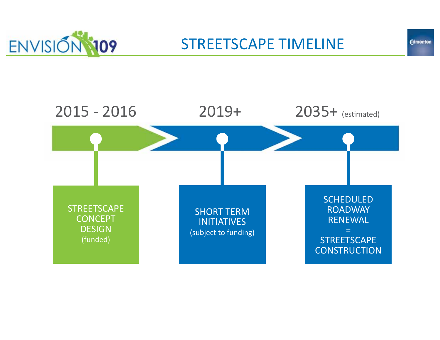



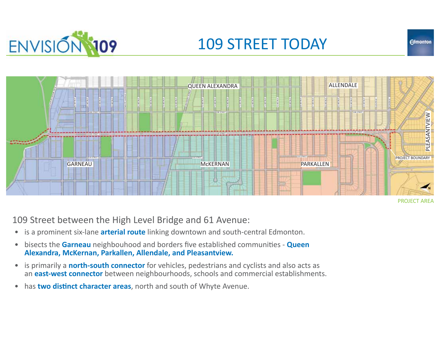

### 109 STREET TODAY



PROJECT AREA

**Edmonton** 

109 Street between the High Level Bridge and 61 Avenue:

- **•** is a prominent six-lane **arterial route** linking downtown and south-central Edmonton.
- $\bullet$ bisects the **Garneau** neighbouhood and borders five established communities - **Queen Alexandra, McKernan, Parkallen, Allendale, and Pleasantview.**
- $\bullet$  is primarily a **north-south connector** for vehicles, pedestrians and cyclists and also acts as an **east-west connector** between neighbourhoods, schools and commercial establishments.
- $\bullet$ has **two distinct character areas**, north and south of Whyte Avenue.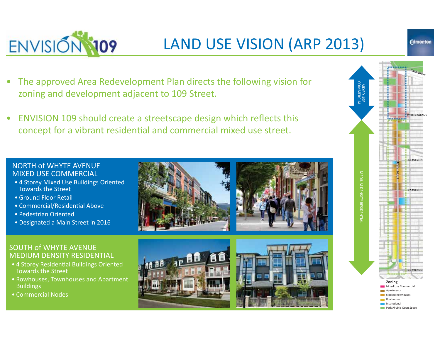

## LAND USE VISION (ARP 2013)

- The approved Area Redevelopment Plan directs the following vision for zoning and development adjacent to 109 Street.
- ENVISION 109 should create a streetscape design which reflects this concept for a vibrant residential and commercial mixed use street.

#### NORTH of WHYTF AVENUE MIXED USE COMMERCIAL

- 4 Storey Mixed Use Buildings Oriented Towards the Street
- Ground Floor Retail
- Commercial/Residential Above
- ͻPedestrian Oriented
- Designated a Main Street in 2016

#### **SOUTH of WHYTE AVENUE** MEDIUM DENSITY RESIDENTIAL

- 4 Storey Residential Buildings Oriented Towards the Street
- Rowhouses, Townhouses and Apartment **Buildings**
- Commercial Nodes









**Edmonton**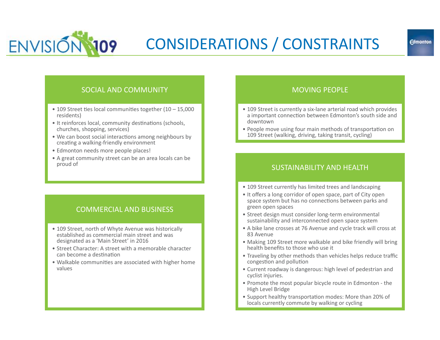

## CONSIDERATIONS / CONSTRAINTS

#### SOCIAL AND COMMUNITY

- $\bullet$  109 Street ties local communities together (10 15,000 residents)
- It reinforces local, community destinations (schools, churches, shopping, services)
- We can boost social interactions among neighbours by creating a walking-friendly environment
- Edmonton needs more people places!
- A great community street can be an area locals can be proud of

#### **COMMERCIAL AND BUSINESS**

- 109 Street, north of Whyte Avenue was historically established as commercial main street and was designated as a 'Main Street' in 2016
- Street Character: A street with a memorable character can become a destination
- Walkable communities are associated with higher home values

#### **MOVING PEOPLE**

- 109 Street is currently a six-lane arterial road which provides a important connection between Edmonton's south side and downtown
- People move using four main methods of transportation on 109 Street (walking, driving, taking transit, cycling)

#### SUSTAINABILITY AND HEALTH

- 109 Street currently has limited trees and landscaping
- It offers a long corridor of open space, part of City open space system but has no connections between parks and green open spaces
- Street design must consider long-term environmental sustainability and interconnected open space system
- A bike lane crosses at 76 Avenue and cycle track will cross at 83 Avenue
- Making 109 Street more walkable and bike friendly will bring health benefits to those who use it
- Traveling by other methods than vehicles helps reduce traffic congestion and pollution
- Current roadway is dangerous: high level of pedestrian and cyclist injuries.
- Promote the most popular bicycle route in Edmonton the High Level Bridge
- Support healthy transportation modes: More than 20% of locals currently commute by walking or cycling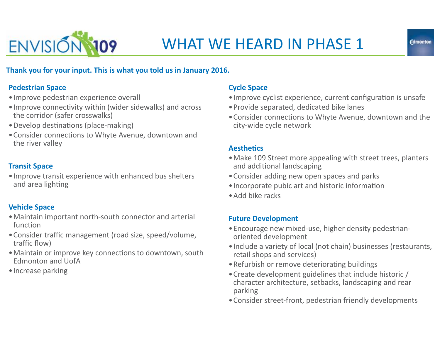

#### **Thank you for your input. This is what you told us in January 2016.**

#### **Pedestrian Space**

- Improve pedestrian experience overall
- Improve connectivity within (wider sidewalks) and across the corridor (safer crosswalks)
- Develop destinations (place-making)
- Consider connections to Whyte Avenue, downtown and the river valley

#### **Transit Space**

• Improve transit experience with enhanced bus shelters and area lighting

#### **Vehicle Space**

- Maintain important north-south connector and arterial function
- Consider traffic management (road size, speed/volume, traffic flow)
- Maintain or improve key connections to downtown, south Edmonton and UofA
- Increase parking

#### **Cycle Space**

- Improve cyclist experience, current configuration is unsafe
- Provide separated, dedicated bike lanes
- Consider connections to Whyte Avenue, downtown and the city-wide cycle network

#### **AestheƟcs**

- Make 109 Street more appealing with street trees, planters and additional landscaping
- Consider adding new open spaces and parks
- Incorporate pubic art and historic information
- Add bike racks

#### **Future Development**

- Encourage new mixed-use, higher density pedestrianoriented development
- Include a variety of local (not chain) businesses (restaurants, retail shops and services)
- Refurbish or remove deteriorating buildings
- Create development guidelines that include historic / character architecture, setbacks, landscaping and rear parking
- Consider street-front, pedestrian friendly developments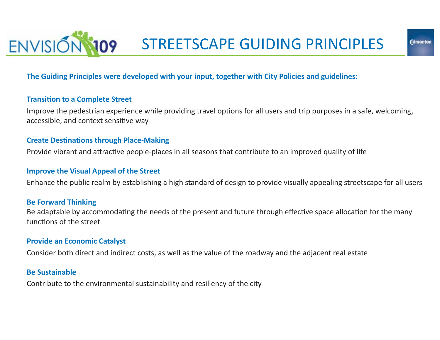

#### **The Guiding Principles were developed with your input, together with City Policies and guidelines:**

#### **Transition to a Complete Street**

Improve the pedestrian experience while providing travel options for all users and trip purposes in a safe, welcoming, accessible, and context sensitive way

#### **Create Destinations through Place-Making**

Provide vibrant and attractive people-places in all seasons that contribute to an improved quality of life

#### **Improve the Visual Appeal of the Street**

Enhance the public realm by establishing a high standard of design to provide visually appealing streetscape for all users

#### **Be Forward Thinking**

Be adaptable by accommodating the needs of the present and future through effective space allocation for the many functions of the street

#### **Provide an Economic Catalyst**

Consider both direct and indirect costs, as well as the value of the roadway and the adjacent real estate

#### **Be Sustainable**

Contribute to the environmental sustainability and resiliency of the city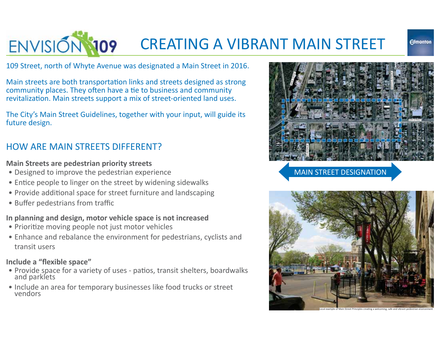

### CREATING A VIBRANT MAIN STREET

109 Street, north of Whyte Avenue was designated a Main Street in 2016.

Main streets are both transportation links and streets designed as strong community places. They often have a tie to business and community revitalization. Main streets support a mix of street-oriented land uses.

The City's Main Street Guidelines, together with your input, will guide its future design.

### HOW ARE MAIN STREETS DIFFERENT?

#### **Main Streets are pedestrian priority streets**

- Designed to improve the pedestrian experience
- Entice people to linger on the street by widening sidewalks
- Provide additional space for street furniture and landscaping
- Buffer pedestrians from traffic

#### **In planning and design, motor vehicle space is not increased**

- Prioritize moving people not just motor vehicles
- Enhance and rebalance the environment for pedestrians, cyclists and transit users

#### **Include a "flexible space"**

- Provide space for a variety of uses patios, transit shelters, boardwalks and parklets
- Include an area for temporary businesses like food trucks or street vendors



MAIN STREET DESIGNATION

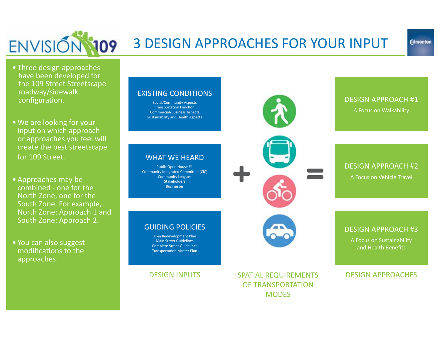

### 3 DESIGN APPROACHES FOR YOUR INPUT

- Three design approaches have been developed for the 109 Street Streetscape roadway/sidewalk configuration.
- We are looking for your input on which approach or approaches you feel will create the best streetscape for 109 Street.
- Approaches may be combined - one for the North Zone, one for the South Zone. For example, North Zone: Approach 1 and South Zone: Approach 2.
- You can also suggest modifications to the approaches.

#### **FXISTING CONDITIONS**

Social/Community Aspects Transportation Function Commercial/Business Aspects Sustainability and Health Aspects

**WHAT WE HEARD** Public Open House #1 Community Integrated Committee (CIC) Community Leagues **Stakeholders Businesses** 

GUIDING POLICIES Area Redevelopment Plan **Main Street Guidelines** Complete Street Guidelines Transportation Master Plan



DESIGN APPROACH #1 A Focus on Walkability

#### DESIGN APPROACH #2 A Focus on Vehicle Travel



#### DESIGN APPROACH #3

A Focus on Sustainability and Health Benefits

#### DESIGN APPROACHES

### DESIGN INPUTS

SPATIAL REQUIREMENTS OF TRANSPORTATION **MODES**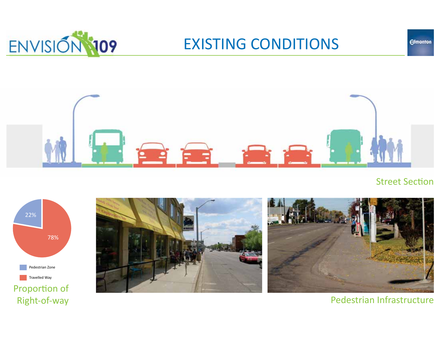

### **EXISTING CONDITIONS**



#### **Street Section**

**Edmonton** 





Pedestrian Infrastructure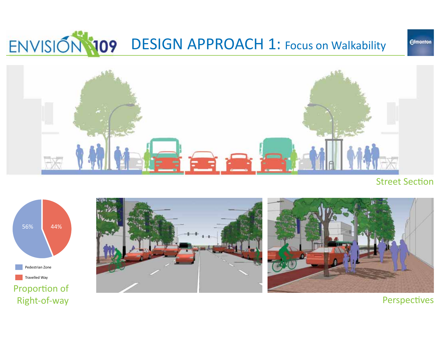# ENVISION 109 DESIGN APPROACH 1: Focus on Walkability



#### **Street Section**

**Edmonton** 







**Perspectives**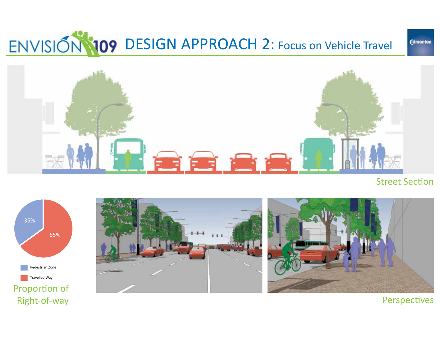# ENVISION 109 DESIGN APPROACH 2: Focus on Vehicle Travel



#### **Street Section**

**Edmonton** 



Right-of-way

Perspectives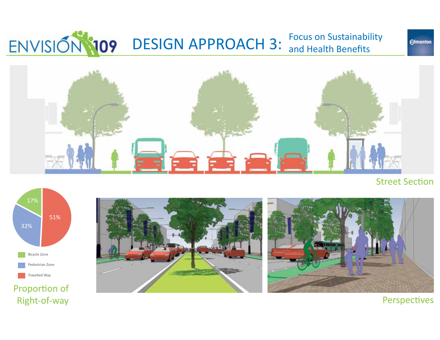#### ENVISION 109 DESIGN APPROACH 3: **Focus on Sustainability** and Health Benefits

France Art

**Street Section** 

**Edmonton** 



Proportion of Right-of-way





**Perspectives**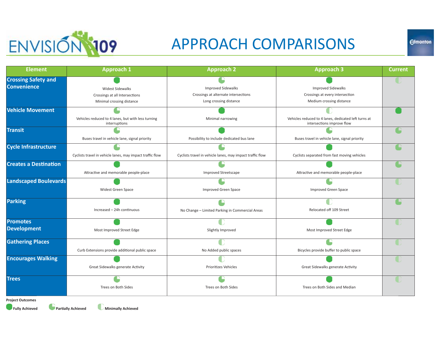

### APPROACH COMPARISONS

| <b>Element</b>               | <b>Approach 1</b>                                                   | <b>Approach 2</b>                                         | <b>Approach 3</b>                                                                  | <b>Current</b> |
|------------------------------|---------------------------------------------------------------------|-----------------------------------------------------------|------------------------------------------------------------------------------------|----------------|
| <b>Crossing Safety and</b>   |                                                                     |                                                           |                                                                                    |                |
| <b>Convenience</b>           | <b>Widest Sidewalks</b>                                             | <b>Improved Sidewalks</b>                                 | <b>Improved Sidewalks</b>                                                          |                |
|                              | Crossings at all Intersections                                      | Crossings at alternate intersections                      | Crossings at every intersection                                                    |                |
|                              | Minimal crossing distance                                           | Long crossing distance                                    | Medium crossing distance                                                           |                |
| <b>Vehicle Movement</b>      |                                                                     |                                                           |                                                                                    |                |
|                              | Vehicles reduced to 4 lanes, but with less turning<br>interruptions | Minimal narrowing                                         | Vehicles reduced to 4 lanes, dedicated left turns at<br>intersections improve flow |                |
| <b>Transit</b>               |                                                                     |                                                           |                                                                                    |                |
|                              | Buses travel in vehicle lane, signal priority                       | Possibility to include dedicated bus lane                 | Buses travel in vehicle lane, signal priority                                      |                |
| <b>Cycle Infrastructure</b>  |                                                                     |                                                           |                                                                                    |                |
|                              | Cyclists travel in vehicle lanes, may impact traffic flow           | Cyclists travel in vehicle lanes, may impact traffic flow | Cyclists separated from fast moving vehicles                                       |                |
| <b>Creates a Destination</b> |                                                                     |                                                           |                                                                                    |                |
|                              | Attractive and memorable people-place                               | <b>Improved Streetscape</b>                               | Attractive and memorable people-place                                              |                |
| <b>Landscaped Boulevards</b> |                                                                     |                                                           |                                                                                    |                |
|                              | Widest Green Space                                                  | Improved Green Space                                      | <b>Improved Green Space</b>                                                        |                |
| <b>Parking</b>               |                                                                     |                                                           |                                                                                    |                |
|                              | Increased - 24h continuous                                          | No Change - Limited Parking in Commercial Areas           | Relocated off 109 Street                                                           |                |
| <b>Promotes</b>              |                                                                     |                                                           |                                                                                    |                |
| <b>Development</b>           | Most Improved Street Edge                                           | Slightly Improved                                         | Most Improved Street Edge                                                          |                |
| <b>Gathering Places</b>      |                                                                     |                                                           |                                                                                    |                |
|                              | Curb Extensions provide additional public space                     | No Added public spaces                                    | Bicycles provide buffer to public space                                            |                |
| <b>Encourages Walking</b>    |                                                                     |                                                           |                                                                                    |                |
|                              | Great Sidewalks generate Activity                                   | <b>Prioritizes Vehicles</b>                               | Great Sidewalks generate Activity                                                  |                |
| <b>Trees</b>                 |                                                                     |                                                           |                                                                                    |                |
|                              | Trees on Both Sides                                                 | Trees on Both Sides                                       | Trees on Both Sides and Median                                                     |                |
| <b>Project Outcomes</b>      |                                                                     |                                                           |                                                                                    |                |

**Project Outcomes**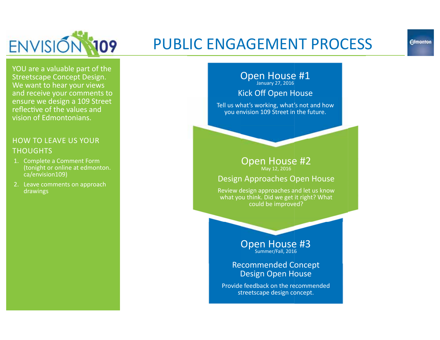

### PUBLIC ENGAGEMENT PROCESS

YOU are a valuable part of the Streetscape Concept Design. We want to hear your views and receive your comments to ensure we design a 109 Street reflective of the values and vision of Edmontonians.

#### HOW TO LEAVE US YOUR **THOUGHTS**

- 1. Complete a Comment Form (tonight or online at edmonton. ca/envision109)
- 2. Leave comments on approach drawings

#### Open House #1 January 27, 2016

#### Kick Off Open House

Tell us what's working, what's not and how you envision 109 Street in the future.

#### Open House #2 May 12, 2016

#### Design Approaches Open House

Review design approaches and let us know what you think. Did we get it right? What could be improved?

### Open House #3

#### Recommended Concept Design Open House

Provide feedback on the recommended streetscape design concept.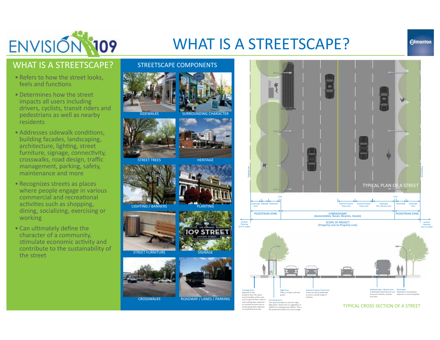

### WHAT IS A STREETSCAPE?

#### **Edmonton**

#### WHAT IS A STREETSCAPE?

- Refers to how the street looks, feels and functions
- Determines how the street impacts all users including drivers, cyclists, transit riders and pedestrians as well as nearby residents
- Addresses sidewalk conditions. building facades, landscaping, architecture, lighting, street furniture, signage, connectivity, crosswalks, road design, traffic management, parking, safety, maintenance and more
- Recognizes streets as places where people engage in various commercial and recreational activities such as shopping. dining, socializing, exercising or working
- Can ultimately define the character of a community, stimulate economic activity and contribute to the sustainability of the street



STREETSCAPE COMPONENTS



STREET TREES

























light poles, street trees or vegetation in<br>addition to underground utilities. This is the preferred location for snow sorage.

to commercial land uses or landscaping when adjacent zo residential land uses

TYPICAL CROSS SECTION OF A STREET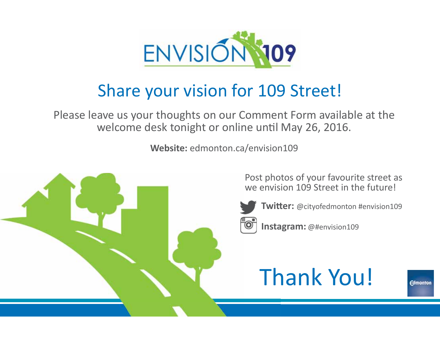

## Share your vision for 109 Street!

Please leave us your thoughts on our Comment Form available at the welcome desk tonight or online until May 26, 2016.

**Website:** edmonton.ca/envision109



Post photos of your favourite street as we envision 109 Street in the future!

**Twitter:** @cityofedmonton #envision109

**Instagram:** @#envision109

## Thank You!